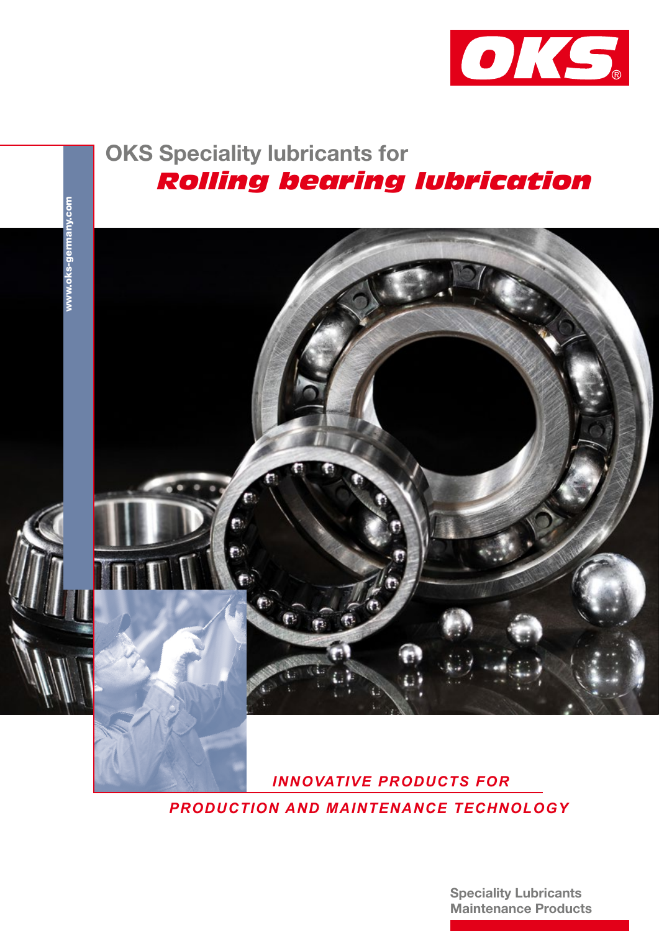

## OKS Speciality lubricants for  *Rolling bearing lubrication*



 *INNOVATIVE PRODUCTS FOR PRODUCTION AND MAINTENANCE TECHNOLOGY*

> Speciality Lubricants Maintenance Products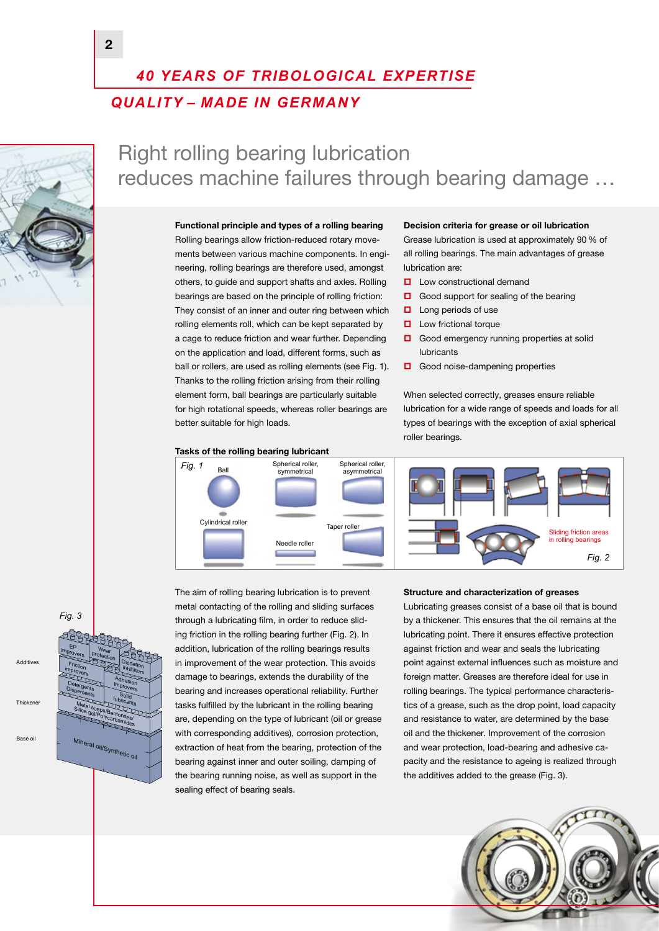## *40 YEARS OF TRIBOLOGICAL EXPERTISE QUALITY – MADE IN GERMANY*



## Right rolling bearing lubrication reduces machine failures through bearing damage …

#### Functional principle and types of a rolling bearing

Rolling bearings allow friction-reduced rotary movements between various machine components. In engineering, rolling bearings are therefore used, amongst others, to guide and support shafts and axles. Rolling bearings are based on the principle of rolling friction: They consist of an inner and outer ring between which rolling elements roll, which can be kept separated by a cage to reduce friction and wear further. Depending on the application and load, different forms, such as ball or rollers, are used as rolling elements (see Fig. 1). Thanks to the rolling friction arising from their rolling element form, ball bearings are particularly suitable for high rotational speeds, whereas roller bearings are better suitable for high loads.

### Tasks of the rolling bearing lubricant **Fig. 1** Ball Spherical roller, Cylindrical roller Needle roller Taper roller Spherical roller asymmetrical

Decision criteria for grease or oil lubrication

Grease lubrication is used at approximately 90% of all rolling bearings. The main advantages of grease lubrication are:

- **Low constructional demand**
- Good support for sealing of the bearing
- $\Box$  Long periods of use
- **Low frictional torque**
- Good emergency running properties at solid lubricants
- Good noise-dampening properties

When selected correctly, greases ensure reliable lubrication for a wide range of speeds and loads for all types of bearings with the exception of axial spherical roller bearings.



#### *Fig. 3*



The aim of rolling bearing lubrication is to prevent metal contacting of the rolling and sliding surfaces through a lubricating film, in order to reduce sliding friction in the rolling bearing further (Fig. 2). In addition, lubrication of the rolling bearings results in improvement of the wear protection. This avoids damage to bearings, extends the durability of the bearing and increases operational reliability. Further tasks fulfilled by the lubricant in the rolling bearing are, depending on the type of lubricant (oil or grease with corresponding additives), corrosion protection, extraction of heat from the bearing, protection of the bearing against inner and outer soiling, damping of the bearing running noise, as well as support in the sealing effect of bearing seals.

#### Structure and characterization of greases

Lubricating greases consist of a base oil that is bound by a thickener. This ensures that the oil remains at the lubricating point. There it ensures effective protection against friction and wear and seals the lubricating point against external influences such as moisture and foreign matter. Greases are therefore ideal for use in rolling bearings. The typical performance characteristics of a grease, such as the drop point, load capacity and resistance to water, are determined by the base oil and the thickener. Improvement of the corrosion and wear protection, load-bearing and adhesive capacity and the resistance to ageing is realized through the additives added to the grease (Fig. 3).

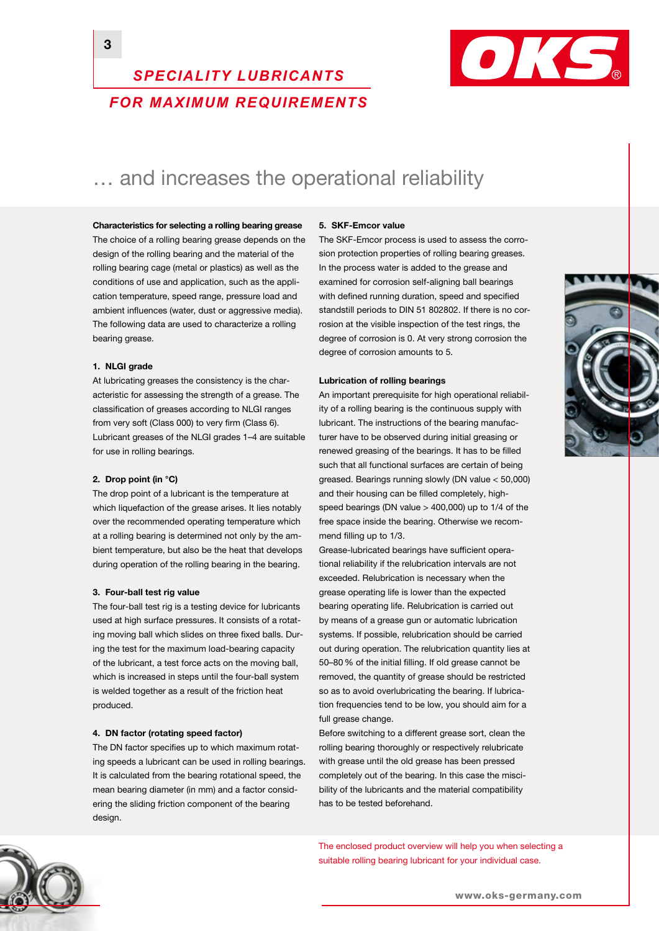#### 3



## *SPECIALITY LUBRICANTS FOR MAXIMUM REQUIREMENTS*

## ... and increases the operational reliability

Characteristics for selecting a rolling bearing grease The choice of a rolling bearing grease depends on the

design of the rolling bearing and the material of the rolling bearing cage (metal or plastics) as well as the conditions of use and application, such as the application temperature, speed range, pressure load and ambient influences (water, dust or aggressive media). The following data are used to characterize a rolling bearing grease.

#### 1. NLGI grade

At lubricating greases the consistency is the characteristic for assessing the strength of a grease. The classification of greases according to NLGI ranges from very soft (Class 000) to very firm (Class 6). Lubricant greases of the NLGI grades 1–4 are suitable for use in rolling bearings.

#### 2. Drop point (in °C)

The drop point of a lubricant is the temperature at which liquefaction of the grease arises. It lies notably over the recommended operating temperature which at a rolling bearing is determined not only by the ambient temperature, but also be the heat that develops during operation of the rolling bearing in the bearing.

#### 3. Four-ball test rig value

The four-ball test rig is a testing device for lubricants used at high surface pressures. It consists of a rotating moving ball which slides on three fixed balls. During the test for the maximum load-bearing capacity of the lubricant, a test force acts on the moving ball, which is increased in steps until the four-ball system is welded together as a result of the friction heat produced.

#### 4. DN factor (rotating speed factor)

The DN factor specifies up to which maximum rotating speeds a lubricant can be used in rolling bearings. It is calculated from the bearing rotational speed, the mean bearing diameter (in mm) and a factor considering the sliding friction component of the bearing design.

#### 5. SKF-Emcor value

The SKF-Emcor process is used to assess the corrosion protection properties of rolling bearing greases. In the process water is added to the grease and examined for corrosion self-aligning ball bearings with defined running duration, speed and specified standstill periods to DIN 51 802802. If there is no corrosion at the visible inspection of the test rings, the degree of corrosion is 0. At very strong corrosion the degree of corrosion amounts to 5.

#### Lubrication of rolling bearings

An important prerequisite for high operational reliability of a rolling bearing is the continuous supply with lubricant. The instructions of the bearing manufacturer have to be observed during initial greasing or renewed greasing of the bearings. It has to be filled such that all functional surfaces are certain of being greased. Bearings running slowly (DN value < 50,000) and their housing can be filled completely, highspeed bearings (DN value > 400,000) up to 1/4 of the free space inside the bearing. Otherwise we recommend filling up to 1/3.

Grease-lubricated bearings have sufficient operational reliability if the relubrication intervals are not exceeded. Relubrication is necessary when the grease operating life is lower than the expected bearing operating life. Relubrication is carried out by means of a grease gun or automatic lubrication systems. If possible, relubrication should be carried out during operation. The relubrication quantity lies at 50–80 % of the initial filling. If old grease cannot be removed, the quantity of grease should be restricted so as to avoid overlubricating the bearing. If lubrication frequencies tend to be low, you should aim for a full grease change.

Before switching to a different grease sort, clean the rolling bearing thoroughly or respectively relubricate with grease until the old grease has been pressed completely out of the bearing. In this case the miscibility of the lubricants and the material compatibility has to be tested beforehand.

The enclosed product overview will help you when selecting a suitable rolling bearing lubricant for your individual case.

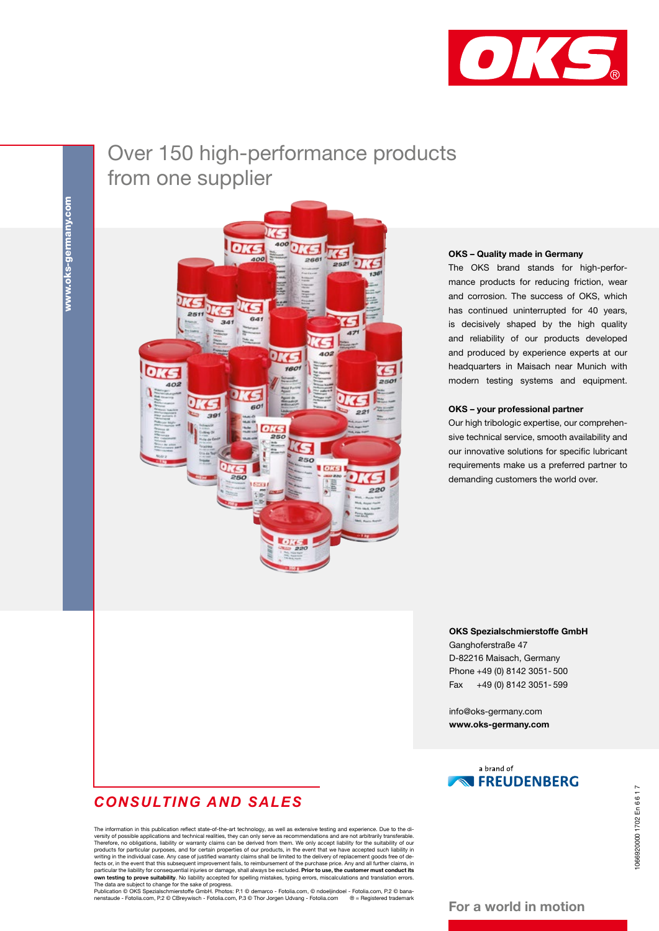

## Over 150 high-performance products from one supplier



#### OKS – Quality made in Germany

The OKS brand stands for high-performance products for reducing friction, wear and corrosion. The success of OKS, which has continued uninterrupted for 40 years, is decisively shaped by the high quality and reliability of our products developed and produced by experience experts at our headquarters in Maisach near Munich with modern testing systems and equipment.

#### OKS – your professional partner

Our high tribologic expertise, our comprehensive technical service, smooth availability and our innovative solutions for specific lubricant requirements make us a preferred partner to demanding customers the world over.

OKS Spezialschmierstoffe GmbH Ganghoferstraße 47 D-82216 Maisach, Germany Phone +49 (0) 8142 3051- 500

info@oks-germany.com www.oks-germany.com

Fax +49 (0) 8142 3051- 599



# 066920000 1702 En 6617 1066920000 1702 En 6 6 1 7

## *CONSULTING AND SALES*

The information in this publication reflect state-of-the-art technology, as well as extensive testing and experience. Due to the diversity of possible applications and technical realities, they can only serve as recommendations and are not arbitrarily transferable. Therefore, no obligations, liability or warranty claims can be derived from them. We on particular the liability for consequential injuries or damage, shall always be excluded. **Prior to use, the customer must conduct its**<br>**own testing to prove suitability**. No liability accepted for spelling mistakes, typin

nenstaude - Fotolia.com, P.2 © CBreywisch - Fotolia.com, P.3 © Thor Jorgen Udvang - Fotolia.com ® = Registered trademark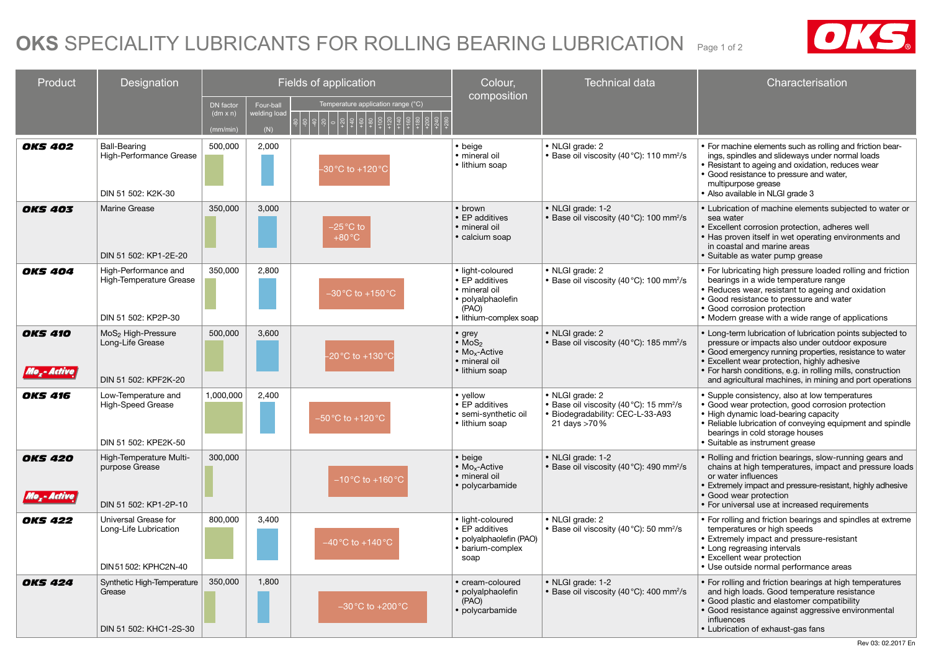## OKS SPECIALITY LUBRICANTS FOR ROLLING BEARING LUBRICATION Page 1 of 2



| Product                                   | Designation                                                                | Fields of application                    |                                  |                                                     | Colour,                                                                                                     | <b>Technical data</b>                                                                                                      | Characterisation                                                                                                                                                                                                                                                                                                                                   |
|-------------------------------------------|----------------------------------------------------------------------------|------------------------------------------|----------------------------------|-----------------------------------------------------|-------------------------------------------------------------------------------------------------------------|----------------------------------------------------------------------------------------------------------------------------|----------------------------------------------------------------------------------------------------------------------------------------------------------------------------------------------------------------------------------------------------------------------------------------------------------------------------------------------------|
|                                           |                                                                            | DN factor<br>$(dm \times n)$<br>(mm/min) | Four-ball<br>velding loac<br>(N) | Temperature application range (°C)                  | composition                                                                                                 |                                                                                                                            |                                                                                                                                                                                                                                                                                                                                                    |
| <b>OKS 402</b>                            | Ball-Bearing<br>High-Performance Grease<br>DIN 51 502: K2K-30              | 500,000                                  | 2,000                            | $-30^{\circ}$ C to $+120^{\circ}$ C                 | • beige<br>· mineral oil<br>• lithium soap                                                                  | • NLGI grade: 2<br>• Base oil viscosity (40 °C): 110 mm <sup>2</sup> /s                                                    | • For machine elements such as rolling and friction bear-<br>ings, spindles and slideways under normal loads<br>• Resistant to ageing and oxidation, reduces wear<br>• Good resistance to pressure and water,<br>multipurpose grease<br>Also available in NLGI grade 3                                                                             |
| <b>OKS 403</b>                            | Marine Grease<br>DIN 51 502: KP1-2E-20                                     | 350,000                                  | 3.000                            | $-25\,^{\circ}\text{C}$ to<br>$+80^{\circ}$ C       | • brown<br>• EP additives<br>· mineral oil<br>• calcium soap                                                | • NLGI grade: 1-2<br>• Base oil viscosity (40°C): 100 mm <sup>2</sup> /s                                                   | • Lubrication of machine elements subjected to water or<br>sea water<br>Excellent corrosion protection, adheres well<br>• Has proven itself in wet operating environments and<br>in coastal and marine areas<br>• Suitable as water pump grease                                                                                                    |
| <b>OKS 404</b>                            | High-Performance and<br>High-Temperature Grease<br>DIN 51 502: KP2P-30     | 350,000                                  | 2,800                            | $-30\degree C$ to $+150\degree C$                   | · light-coloured<br>• EP additives<br>· mineral oil<br>• polyalphaolefin<br>(PAO)<br>· lithium-complex soap | • NLGI grade: 2<br>· Base oil viscosity (40°C): 100 mm <sup>2</sup> /s                                                     | • For lubricating high pressure loaded rolling and friction<br>bearings in a wide temperature range<br>Reduces wear, resistant to ageing and oxidation<br>• Good resistance to pressure and water<br>• Good corrosion protection<br>• Modern grease with a wide range of applications                                                              |
| <b>OKS 410</b><br>Mo <sub>r</sub> -Active | MoS <sub>2</sub> High-Pressure<br>Long-Life Grease<br>DIN 51 502: KPF2K-20 | 500,000                                  | 3,600                            | $-20\,^{\circ}\text{C}$ to $+130\,^{\circ}\text{C}$ | • grey<br>$\cdot$ MoS <sub>2</sub><br>• Mo <sub>x</sub> -Active<br>· mineral oil<br>• lithium soap          | • NLGI grade: 2<br>• Base oil viscosity (40 °C): 185 mm <sup>2</sup> /s                                                    | • Long-term lubrication of lubrication points subjected to<br>pressure or impacts also under outdoor exposure<br>Good emergency running properties, resistance to water<br>• Excellent wear protection, highly adhesive<br>• For harsh conditions, e.g. in rolling mills, construction<br>and agricultural machines, in mining and port operations |
| <b>OKS 416</b>                            | Low-Temperature and<br>High-Speed Grease<br>DIN 51 502: KPE2K-50           | 1,000,000                                | 2,400                            | –50 °C to +120 °C                                   | • vellow<br>• EP additives<br>· semi-synthetic oil<br>• lithium soap                                        | • NLGI grade: 2<br>• Base oil viscosity (40°C): 15 mm <sup>2</sup> /s<br>• Biodegradability: CEC-L-33-A93<br>21 days >70 % | • Supple consistency, also at low temperatures<br>• Good wear protection, good corrosion protection<br>• High dynamic load-bearing capacity<br>· Reliable lubrication of conveying equipment and spindle<br>bearings in cold storage houses<br>· Suitable as instrument grease                                                                     |
| <b>OKS 420</b><br>llo "- Active į         | High-Temperature Multi-<br>purpose Grease<br>DIN 51 502: KP1-2P-10         | 300,000                                  |                                  | $-10\,^{\circ}\text{C}$ to $+160\,^{\circ}\text{C}$ | • beige<br>• Mo <sub>x</sub> -Active<br>· mineral oil<br>• polycarbamide                                    | • NLGI grade: 1-2<br>• Base oil viscosity (40 °C): 490 mm <sup>2</sup> /s                                                  | • Rolling and friction bearings, slow-running gears and<br>chains at high temperatures, impact and pressure loads<br>or water influences<br>• Extremely impact and pressure-resistant, highly adhesive<br>• Good wear protection<br>• For universal use at increased requirements                                                                  |
| <b>OKS 422</b>                            | Universal Grease for<br>Long-Life Lubrication<br>DIN 51 502: KPHC2N-40     | 800,000                                  | 3,400                            | $-40\,^{\circ}$ C to +140 $^{\circ}$ C              | · light-coloured<br>• EP additives<br>· polyalphaolefin (PAO)<br>• barium-complex<br>soap                   | • NLGI grade: 2<br>• Base oil viscosity (40 °C): 50 mm <sup>2</sup> /s                                                     | • For rolling and friction bearings and spindles at extreme<br>temperatures or high speeds<br><b>Extremely impact and pressure-resistant</b><br>• Long regreasing intervals<br>• Excellent wear protection<br>• Use outside normal performance areas                                                                                               |
| <b>OKS 424</b>                            | Synthetic High-Temperature<br>Grease<br>DIN 51 502: KHC1-2S-30             | 350,000                                  | 1,800                            | $-30\,^{\circ}\text{C}$ to $+200\,^{\circ}\text{C}$ | • cream-coloured<br>· polyalphaolefin<br>(PAO)<br>· polycarbamide                                           | • NLGI grade: 1-2<br>• Base oil viscosity (40°C): 400 mm <sup>2</sup> /s                                                   | • For rolling and friction bearings at high temperatures<br>and high loads. Good temperature resistance<br>Good plastic and elastomer compatibility<br>• Good resistance against aggressive environmental<br>influences<br>• Lubrication of exhaust-gas fans                                                                                       |